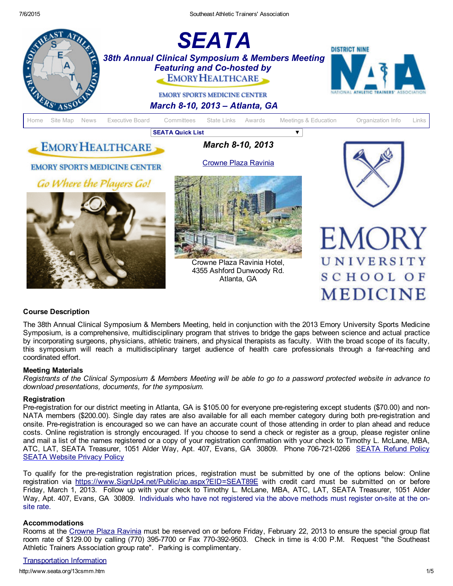

## Course Description

The 38th Annual Clinical Symposium & Members Meeting, held in conjunction with the 2013 Emory University Sports Medicine Symposium, is a comprehensive, multidisciplinary program that strives to bridge the gaps between science and actual practice by incorporating surgeons, physicians, athletic trainers, and physical therapists as faculty. With the broad scope of its faculty, this symposium will reach a multidisciplinary target audience of health care professionals through a farreaching and coordinated effort.

### Meeting Materials

Registrants of the Clinical Symposium & Members Meeting will be able to go to a password protected website in advance to *download presentations, documents, for the symposium.*

### **Registration**

Pre-registration for our district meeting in Atlanta, GA is \$105.00 for everyone pre-registering except students (\$70.00) and non-NATA members (\$200.00). Single day rates are also available for all each member category during both pre-registration and onsite. Preregistration is encouraged so we can have an accurate count of those attending in order to plan ahead and reduce costs. Online registration is strongly encouraged. If you choose to send a check or register as a group, please register online and mail a list of the names registered or a copy of your registration confirmation with your check to Timothy L. McLane, MBA, ATC, LAT, [SEATA](http://www.seata.org/refund.htm) Treasurer, 1051 Alder Way, Apt. 407, Evans, GA 30809. Phone 706-721-0266 SEATA Refund Policy SEATA [Website](http://seata.org/privacy.htm) Privacy Policy

To qualify for the preregistration registration prices, registration must be submitted by one of the options below: Online registration via [https://www.SignUp4.net/Public/ap.aspx?EID=SEAT89E](https://www.signup4.net/Public/ap.aspx?EID=SEAT89E) with credit card must be submitted on or before Friday, March 1, 2013. Follow up with your check to Timothy L. McLane, MBA, ATC, LAT, SEATA Treasurer, 1051 Alder Way, Apt. 407, Evans, GA 30809. Individuals who have not registered via the above methods must register onsite at the onsite rate.

## Accommodations

Rooms at the [Crowne](http://www.ichotelsgroup.com/crowneplaza/hotels/us/en/atlanta/atlcp/hoteldetail) Plaza Ravinia must be reserved on or before Friday, February 22, 2013 to ensure the special group flat room rate of \$129.00 by calling (770) 395-7700 or Fax 770-392-9503. Check in time is 4:00 P.M. Request "the Southeast Athletic Trainers Association group rate". Parking is complimentary.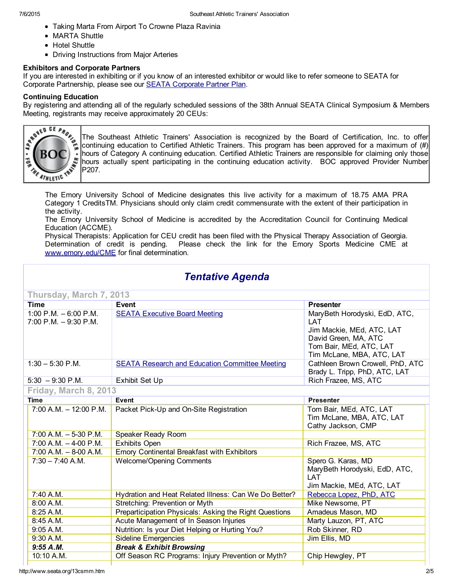- Taking Marta From Airport To Crowne Plaza Ravinia
- MARTA Shuttle
- Hotel Shuttle
- Driving Instructions from Major Arteries

## Exhibitors and Corporate Partners

If you are interested in exhibiting or if you know of an interested exhibitor or would like to refer someone to SEATA for Corporate Partnership, please see our SEATA [Corporate](http://www.seata.org/cpp.htm) Partner Plan.

### Continuing Education

By registering and attending all of the regularly scheduled sessions of the 38th Annual SEATA Clinical Symposium & Members Meeting, registrants may receive approximately 20 CEUs:



The Southeast Athletic Trainers' Association is recognized by the Board of Certification, Inc. to offer continuing education to Certified Athletic Trainers. This program has been approved for a maximum of (#) hours of Category A continuing education. Certified Athletic Trainers are responsible for claiming only those hours actually spent participating in the continuing education activity. BOC approved Provider Number P207.

The Emory University School of Medicine designates this live activity for a maximum of 18.75 AMA PRA Category 1 CreditsTM. Physicians should only claim credit commensurate with the extent of their participation in the activity.

The Emory University School of Medicine is accredited by the Accreditation Council for Continuing Medical Education (ACCME).

Physical Therapists: Application for CEU credit has been filed with the Physical Therapy Association of Georgia. Determination of credit is pending. Please check the link for the Emory Sports Medicine CME at [www.emory.edu/CME](http://www.emory.edu/CME) for final determination.

# *Tentative Agenda*

| Thursday, March 7, 2013                            |                                                                                                                            |                                                                                                                                                   |  |  |
|----------------------------------------------------|----------------------------------------------------------------------------------------------------------------------------|---------------------------------------------------------------------------------------------------------------------------------------------------|--|--|
| <b>Time</b>                                        | Event                                                                                                                      | <b>Presenter</b>                                                                                                                                  |  |  |
| 1:00 P.M. $-6.00$ P.M.<br>$7:00$ P.M. $-9:30$ P.M. | <b>SEATA Executive Board Meeting</b>                                                                                       | MaryBeth Horodyski, EdD, ATC,<br>LAT<br>Jim Mackie, MEd, ATC, LAT<br>David Green, MA, ATC<br>Tom Bair, MEd, ATC, LAT<br>Tim McLane, MBA, ATC, LAT |  |  |
| $1:30 - 5:30$ P.M.                                 | Cathleen Brown Crowell, PhD, ATC<br><b>SEATA Research and Education Committee Meeting</b><br>Brady L. Tripp, PhD, ATC, LAT |                                                                                                                                                   |  |  |
| $5:30 - 9:30$ P.M.                                 | Exhibit Set Up                                                                                                             | Rich Frazee, MS, ATC                                                                                                                              |  |  |
| Friday, March 8, 2013                              |                                                                                                                            |                                                                                                                                                   |  |  |
| <b>Time</b>                                        | <b>Event</b>                                                                                                               | <b>Presenter</b>                                                                                                                                  |  |  |
| $7:00$ A.M. $-12:00$ P.M.                          | Packet Pick-Up and On-Site Registration                                                                                    | Tom Bair, MEd, ATC, LAT<br>Tim McLane, MBA, ATC, LAT<br>Cathy Jackson, CMP                                                                        |  |  |
| $7:00$ A.M. $-5-30$ P.M.                           | Speaker Ready Room                                                                                                         |                                                                                                                                                   |  |  |
| $7:00$ A.M. $-$ 4-00 P.M.                          | <b>Exhibits Open</b><br>Rich Frazee, MS, ATC                                                                               |                                                                                                                                                   |  |  |
| $7:00$ A.M. $-$ 8-00 A.M.                          | Emory Continental Breakfast with Exhibitors                                                                                |                                                                                                                                                   |  |  |
| $7:30 - 7:40$ A.M.                                 | Spero G. Karas, MD<br><b>Welcome/Opening Comments</b><br>MaryBeth Horodyski, EdD, ATC,<br>LAT<br>Jim Mackie, MEd, ATC, LAT |                                                                                                                                                   |  |  |
| 7:40 A.M.                                          | Hydration and Heat Related Illness: Can We Do Better?                                                                      | Rebecca Lopez, PhD, ATC                                                                                                                           |  |  |
| 8:00 A.M.                                          | Stretching: Prevention or Myth<br>Mike Newsome, PT                                                                         |                                                                                                                                                   |  |  |
| 8:25A.M.                                           | Preparticipation Physicals: Asking the Right Questions                                                                     | Amadeus Mason, MD                                                                                                                                 |  |  |
| 8:45 A.M.                                          | Acute Management of In Season Injuries<br>Marty Lauzon, PT, ATC                                                            |                                                                                                                                                   |  |  |
| 9:05A.M.                                           | Nutrition: Is your Diet Helping or Hurting You?<br>Rob Skinner, RD                                                         |                                                                                                                                                   |  |  |
| 9:30 A.M.                                          | <b>Sideline Emergencies</b><br>Jim Ellis, MD                                                                               |                                                                                                                                                   |  |  |
| 9:55A.M.                                           | <b>Break &amp; Exhibit Browsing</b>                                                                                        |                                                                                                                                                   |  |  |
| 10:10 A.M.                                         | Off Season RC Programs: Injury Prevention or Myth?<br>Chip Hewgley, PT                                                     |                                                                                                                                                   |  |  |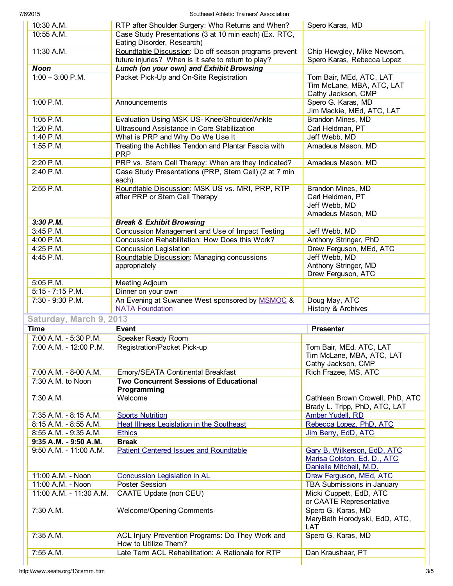7/6/2015 Southeast Athletic Trainers' Association

| 10:30 A.M.              | RTP after Shoulder Surgery: Who Returns and When?                         | Spero Karas, MD                  |  |
|-------------------------|---------------------------------------------------------------------------|----------------------------------|--|
| 10:55 A.M.              | Case Study Presentations (3 at 10 min each) (Ex. RTC,                     |                                  |  |
|                         | Eating Disorder, Research)                                                |                                  |  |
| 11:30 A.M.              | Roundtable Discussion: Do off season programs prevent                     | Chip Hewgley, Mike Newsom,       |  |
|                         | future injuries? When is it safe to return to play?                       | Spero Karas, Rebecca Lopez       |  |
| <b>Noon</b>             | Lunch (on your own) and Exhibit Browsing                                  |                                  |  |
| $1:00 - 3:00$ P.M.      | Packet Pick-Up and On-Site Registration                                   | Tom Bair, MEd, ATC, LAT          |  |
|                         |                                                                           | Tim McLane, MBA, ATC, LAT        |  |
|                         |                                                                           | Cathy Jackson, CMP               |  |
| 1:00 P.M.               | Announcements                                                             | Spero G. Karas, MD               |  |
|                         |                                                                           | Jim Mackie, MEd, ATC, LAT        |  |
| 1:05 P.M.               | Evaluation Using MSK US- Knee/Shoulder/Ankle                              | Brandon Mines, MD                |  |
|                         |                                                                           |                                  |  |
| 1:20 P.M.               | Ultrasound Assistance in Core Stabilization                               | Carl Heldman, PT                 |  |
| 1:40 P.M.               | What is PRP and Why Do We Use It                                          | Jeff Webb, MD                    |  |
| 1:55 P.M.               | Treating the Achilles Tendon and Plantar Fascia with<br><b>PRP</b>        | Amadeus Mason, MD                |  |
| 2:20 P.M.               | PRP vs. Stem Cell Therapy: When are they Indicated?                       | Amadeus Mason. MD                |  |
| 2:40 P.M.               | Case Study Presentations (PRP, Stem Cell) (2 at 7 min                     |                                  |  |
|                         | each)                                                                     |                                  |  |
| 2:55 P.M.               | Roundtable Discussion: MSK US vs. MRI, PRP, RTP                           | Brandon Mines, MD                |  |
|                         | after PRP or Stem Cell Therapy                                            | Carl Heldman, PT                 |  |
|                         |                                                                           | Jeff Webb, MD                    |  |
|                         |                                                                           | Amadeus Mason, MD                |  |
| 3:30 P.M.               | <b>Break &amp; Exhibit Browsing</b>                                       |                                  |  |
| 3:45 P.M.               | Concussion Management and Use of Impact Testing                           | Jeff Webb, MD                    |  |
| 4:00 P.M.               | Concussion Rehabilitation: How Does this Work?                            | Anthony Stringer, PhD            |  |
| 4:25 P.M.               | <b>Concussion Legislation</b>                                             | Drew Ferguson, MEd, ATC          |  |
| 4:45 P.M.               | Roundtable Discussion: Managing concussions                               | Jeff Webb, MD                    |  |
|                         | appropriately                                                             | Anthony Stringer, MD             |  |
|                         |                                                                           | Drew Ferguson, ATC               |  |
| 5:05 P.M.               | Meeting Adjourn                                                           |                                  |  |
| $5:15 - 7:15$ P.M.      | Dinner on your own                                                        |                                  |  |
| 7:30 - 9:30 P.M.        | An Evening at Suwanee West sponsored by MSMOC &                           | Doug May, ATC                    |  |
|                         | <b>NATA Foundation</b>                                                    | History & Archives               |  |
| Saturday, March 9, 2013 |                                                                           |                                  |  |
| <b>Time</b>             | Event                                                                     | <b>Presenter</b>                 |  |
| 7:00 A.M. - 5:30 P.M.   |                                                                           |                                  |  |
|                         | Speaker Ready Room                                                        |                                  |  |
| 7:00 A.M. - 12:00 P.M.  | Registration/Packet Pick-up                                               | Tom Bair, MEd, ATC, LAT          |  |
|                         |                                                                           | Tim McLane, MBA, ATC, LAT        |  |
|                         |                                                                           | Cathy Jackson, CMP               |  |
| 7:00 A.M. - 8-00 A.M.   | Emory/SEATA Continental Breakfast                                         | Rich Frazee, MS, ATC             |  |
| 7:30 A.M. to Noon       | <b>Two Concurrent Sessions of Educational</b>                             |                                  |  |
|                         | Programming                                                               |                                  |  |
| 7:30 A.M.               | Welcome                                                                   | Cathleen Brown Crowell, PhD, ATC |  |
|                         |                                                                           | Brady L. Tripp, PhD, ATC, LAT    |  |
| 7:35 A.M. - 8:15 A.M.   | <b>Sports Nutrition</b>                                                   | Amber Yudell, RD                 |  |
| 8:15 A.M. - 8:55 A.M.   | <b>Heat Illness Legislation in the Southeast</b>                          | Rebecca Lopez, PhD, ATC          |  |
| 8:55 A.M. - 9:35 A.M.   | <b>Ethics</b>                                                             | Jim Berry, EdD, ATC              |  |
| 9:35 A.M. - 9:50 A.M.   | <b>Break</b>                                                              |                                  |  |
| 9:50 A.M. - 11:00 A.M.  | <b>Patient Centered Issues and Roundtable</b>                             | Gary B. Wilkerson, EdD, ATC      |  |
|                         |                                                                           | Marisa Colston, Ed. D., ATC      |  |
|                         |                                                                           | Danielle Mitchell, M.D.          |  |
| 11:00 A.M. - Noon       | <b>Concussion Legislation in AL</b><br>Drew Ferguson, MEd, ATC            |                                  |  |
| 11:00 A.M. - Noon       | Poster Session                                                            | TBA Submissions in January       |  |
| 11:00 A.M. - 11:30 A.M. | <b>CAATE Update (non CEU)</b>                                             | Micki Cuppett, EdD, ATC          |  |
|                         |                                                                           | or CAATE Representative          |  |
|                         |                                                                           |                                  |  |
|                         |                                                                           |                                  |  |
| 7:30 A.M.               | <b>Welcome/Opening Comments</b>                                           | Spero G. Karas, MD               |  |
|                         |                                                                           | MaryBeth Horodyski, EdD, ATC,    |  |
|                         |                                                                           | LAT                              |  |
| 7:35 A.M.               | ACL Injury Prevention Programs: Do They Work and                          | Spero G. Karas, MD               |  |
| 7:55 A.M.               | How to Utilize Them?<br>Late Term ACL Rehabilitation: A Rationale for RTP | Dan Kraushaar, PT                |  |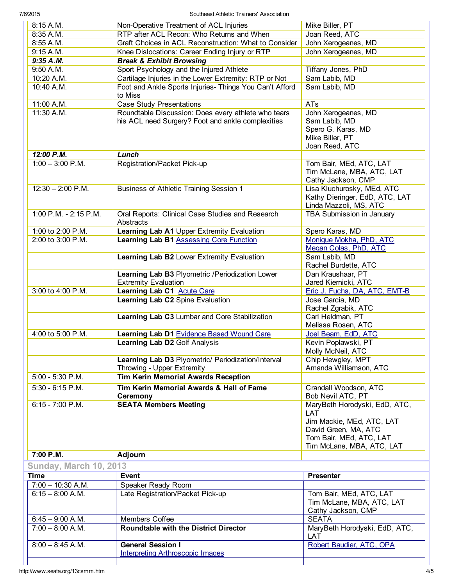7/6/2015 Southeast Athletic Trainers' Association

| <b>Time</b>                   | <b>Event</b>                                                                                             | <b>Presenter</b>                                                              |  |
|-------------------------------|----------------------------------------------------------------------------------------------------------|-------------------------------------------------------------------------------|--|
| <b>Sunday, March 10, 2013</b> |                                                                                                          |                                                                               |  |
| 7:00 P.M.                     | Adjourn                                                                                                  |                                                                               |  |
|                               |                                                                                                          | Tom Bair, MEd, ATC, LAT<br>Tim McLane, MBA, ATC, LAT                          |  |
|                               |                                                                                                          | Jim Mackie, MEd, ATC, LAT<br>David Green, MA, ATC                             |  |
| $6:15 - 7:00$ P.M.            | <b>SEATA Members Meeting</b>                                                                             | MaryBeth Horodyski, EdD, ATC,<br>LAT                                          |  |
|                               | Bob Nevil ATC, PT<br><b>Ceremony</b>                                                                     |                                                                               |  |
| $5:30 - 6:15$ P.M.            | Tim Kerin Memorial Awards & Hall of Fame<br>Crandall Woodson, ATC                                        |                                                                               |  |
| 5:00 - 5:30 P.M.              | Throwing - Upper Extremity<br><b>Tim Kerin Memorial Awards Reception</b>                                 | Amanda Williamson, ATC                                                        |  |
|                               | Learning Lab D3 Plyometric/ Periodization/Interval                                                       | Chip Hewgley, MPT                                                             |  |
|                               | Learning Lab D2 Golf Analysis                                                                            | Kevin Poplawski, PT<br>Molly McNeil, ATC                                      |  |
| 4:00 to 5:00 P.M.             | Learning Lab D1 Evidence Based Wound Care                                                                | Joel Beam, EdD, ATC                                                           |  |
|                               | Learning Lab C3 Lumbar and Core Stabilization                                                            | Carl Heldman, PT<br>Melissa Rosen, ATC                                        |  |
|                               | Learning Lab C2 Spine Evaluation                                                                         | Jose Garcia, MD<br>Rachel Zgrabik, ATC                                        |  |
| 3:00 to 4:00 P.M.             | Learning Lab C1 Acute Care                                                                               | Eric J. Fuchs, DA, ATC, EMT-B                                                 |  |
|                               | <b>Extremity Evaluation</b>                                                                              | Jared Kiernicki, ATC                                                          |  |
|                               | Learning Lab B3 Plyometric /Periodization Lower                                                          | Rachel Burdette, ATC<br>Dan Kraushaar, PT                                     |  |
|                               | Learning Lab B2 Lower Extremity Evaluation                                                               | Megan Colas, PhD, ATC<br>Sam Labib, MD                                        |  |
| 2:00 to 3:00 P.M.             | Learning Lab B1 Assessing Core Function                                                                  | Monique Mokha, PhD, ATC                                                       |  |
| 1:00 to 2:00 P.M.             | Abstracts<br>Spero Karas, MD<br>Learning Lab A1 Upper Extremity Evaluation                               |                                                                               |  |
| 1:00 P.M. - 2:15 P.M.         | Oral Reports: Clinical Case Studies and Research                                                         | Linda Mazzoli, MS, ATC<br>TBA Submission in January                           |  |
| $12:30 - 2:00$ P.M.           | Business of Athletic Training Session 1                                                                  | Lisa Kluchurosky, MEd, ATC<br>Kathy Dieringer, EdD, ATC, LAT                  |  |
|                               |                                                                                                          | Tim McLane, MBA, ATC, LAT<br>Cathy Jackson, CMP                               |  |
| $1:00 - 3:00$ P.M.            | Registration/Packet Pick-up                                                                              | Tom Bair, MEd, ATC, LAT                                                       |  |
| 12:00 P.M.                    | Lunch                                                                                                    | Joan Reed, ATC                                                                |  |
| 11:30 A.M.                    | Roundtable Discussion: Does every athlete who tears<br>his ACL need Surgery? Foot and ankle complexities | John Xerogeanes, MD<br>Sam Labib, MD<br>Spero G. Karas, MD<br>Mike Biller, PT |  |
| 11:00 A.M.                    | <b>Case Study Presentations</b>                                                                          | <b>ATs</b>                                                                    |  |
| 10:40 A.M.                    | Foot and Ankle Sports Injuries- Things You Can't Afford<br>to Miss                                       | Sam Labib, MD                                                                 |  |
| 10:20 A.M.                    | Cartilage Injuries in the Lower Extremity: RTP or Not<br>Sam Labib, MD                                   |                                                                               |  |
| 9:50 A.M.                     | Sport Psychology and the Injured Athlete                                                                 | Tiffany Jones, PhD                                                            |  |
| 9:35 A.M.                     | <b>Break &amp; Exhibit Browsing</b>                                                                      |                                                                               |  |
| 9:15 A.M.                     | Knee Dislocations: Career Ending Injury or RTP                                                           | John Xerogeanes, MD                                                           |  |
| 8:55 A.M.                     | Graft Choices in ACL Reconstruction: What to Consider<br>John Xerogeanes, MD                             |                                                                               |  |
| 8:35 A.M.                     | RTP after ACL Recon: Who Returns and When<br>Joan Reed, ATC                                              |                                                                               |  |
| 8:15 A.M.                     | Non-Operative Treatment of ACL Injuries                                                                  | Mike Biller, PT                                                               |  |

| ∎ıme                | <b>Event</b>                                 | Presenter                     |  |  |
|---------------------|----------------------------------------------|-------------------------------|--|--|
| $7:00 - 10:30$ A.M. | Speaker Ready Room                           |                               |  |  |
| $6:15 - 8:00$ A.M.  | Late Registration/Packet Pick-up             | Tom Bair, MEd, ATC, LAT       |  |  |
|                     |                                              | Tim McLane, MBA, ATC, LAT     |  |  |
|                     |                                              | Cathy Jackson, CMP            |  |  |
| $6:45 - 9:00$ A.M.  | Members Coffee                               | <b>SEATA</b>                  |  |  |
| $7:00 - 8:00$ A.M.  | <b>Roundtable with the District Director</b> | MaryBeth Horodyski, EdD, ATC, |  |  |
|                     |                                              | LAT                           |  |  |
| $8:00 - 8:45$ A.M.  | <b>General Session I</b>                     | Robert Baudier, ATC, OPA      |  |  |
|                     | <b>Interpreting Arthroscopic Images</b>      |                               |  |  |
|                     |                                              |                               |  |  |